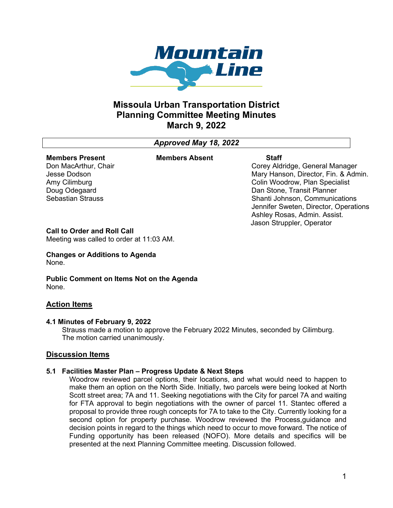

# **Missoula Urban Transportation District Planning Committee Meeting Minutes March 9, 2022**

# *Approved May 18, 2022*

#### **Members Present** Don MacArthur, Chair

Jesse Dodson Amy Cilimburg Doug Odegaard Sebastian Strauss **Members Absent Staff**

Corey Aldridge, General Manager Mary Hanson, Director, Fin. & Admin. Colin Woodrow, Plan Specialist Dan Stone, Transit Planner Shanti Johnson, Communications Jennifer Sweten, Director, Operations Ashley Rosas, Admin. Assist. Jason Struppler, Operator

#### **Call to Order and Roll Call**

Meeting was called to order at 11:03 AM.

#### **Changes or Additions to Agenda** None.

**Public Comment on Items Not on the Agenda** None.

### **Action Items**

#### **4.1 Minutes of February 9, 2022**

Strauss made a motion to approve the February 2022 Minutes, seconded by Cilimburg. The motion carried unanimously.

#### **Discussion Items**

#### **5.1 Facilities Master Plan – Progress Update & Next Steps**

Woodrow reviewed parcel options, their locations, and what would need to happen to make them an option on the North Side. Initially, two parcels were being looked at North Scott street area; 7A and 11. Seeking negotiations with the City for parcel 7A and waiting for FTA approval to begin negotiations with the owner of parcel 11. Stantec offered a proposal to provide three rough concepts for 7A to take to the City. Currently looking for a second option for property purchase. Woodrow reviewed the Process,guidance and decision points in regard to the things which need to occur to move forward. The notice of Funding opportunity has been released (NOFO). More details and specifics will be presented at the next Planning Committee meeting. Discussion followed.